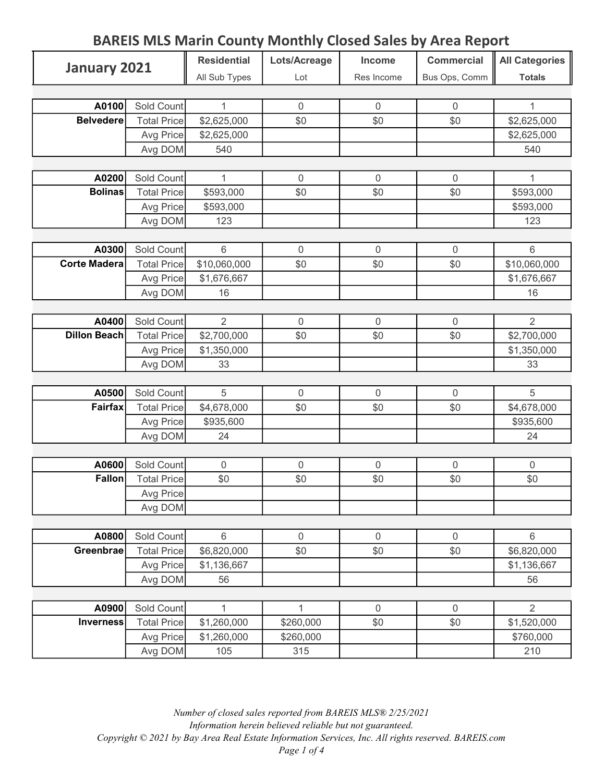## BAREIS MLS Marin County Monthly Closed Sales by Area Report

| January 2021        |                    | <b>Residential</b> | Lots/Acreage     | Income         | <b>Commercial</b> | All Categories |
|---------------------|--------------------|--------------------|------------------|----------------|-------------------|----------------|
|                     |                    | All Sub Types      | Lot              | Res Income     | Bus Ops, Comm     | <b>Totals</b>  |
|                     |                    |                    |                  |                |                   |                |
| A0100               | Sold Count         | 1                  | $\mathbf 0$      | $\mathbf{0}$   | $\Omega$          | 1              |
| <b>Belvedere</b>    | <b>Total Price</b> | \$2,625,000        | \$0              | \$0            | \$0               | \$2,625,000    |
|                     | Avg Price          | \$2,625,000        |                  |                |                   | \$2,625,000    |
|                     | Avg DOM            | 540                |                  |                |                   | 540            |
|                     |                    |                    |                  |                |                   |                |
| A0200               | Sold Count         | 1                  | $\boldsymbol{0}$ | $\overline{0}$ | $\Omega$          | 1              |
| <b>Bolinas</b>      | <b>Total Price</b> | \$593,000          | \$0              | \$0            | \$0               | \$593,000      |
|                     | Avg Price          | \$593,000          |                  |                |                   | \$593,000      |
|                     | Avg DOM            | 123                |                  |                |                   | 123            |
|                     |                    |                    |                  |                |                   |                |
| A0300               | Sold Count         | $6\,$              | $\boldsymbol{0}$ | $\mathbf 0$    | $\overline{0}$    | 6              |
| <b>Corte Madera</b> | <b>Total Price</b> | \$10,060,000       | \$0              | \$0            | \$0               | \$10,060,000   |
|                     | Avg Price          | \$1,676,667        |                  |                |                   | \$1,676,667    |
|                     | Avg DOM            | 16                 |                  |                |                   | 16             |
|                     |                    |                    |                  |                |                   |                |
| A0400               | Sold Count         | $\overline{2}$     | $\mathbf 0$      | $\mathbf 0$    | $\mathbf 0$       | $\overline{2}$ |
| <b>Dillon Beach</b> | <b>Total Price</b> | \$2,700,000        | \$0              | \$0            | \$0               | \$2,700,000    |
|                     | Avg Price          | \$1,350,000        |                  |                |                   | \$1,350,000    |
|                     | Avg DOM            | 33                 |                  |                |                   | 33             |
|                     |                    |                    |                  |                |                   |                |
| A0500               | Sold Count         | 5                  | $\mathbf 0$      | $\mathbf 0$    | $\mathbf 0$       | 5              |
| <b>Fairfax</b>      | <b>Total Price</b> | \$4,678,000        | \$0              | \$0            | \$0               | \$4,678,000    |
|                     | Avg Price          | \$935,600          |                  |                |                   | \$935,600      |
|                     | Avg DOM            | 24                 |                  |                |                   | 24             |
|                     |                    |                    |                  |                |                   |                |
| A0600               | Sold Count         | 0                  | $\mathbf 0$      | $\overline{0}$ | 0                 | 0              |
| Fallon              | <b>Total Price</b> | \$0                | \$0              | \$0            | \$0               | \$0            |
|                     | Avg Price          |                    |                  |                |                   |                |
|                     | Avg DOM            |                    |                  |                |                   |                |
|                     |                    |                    |                  |                |                   |                |
| A0800               | Sold Count         | $6\,$              | $\boldsymbol{0}$ | $\mathbf 0$    | $\mathbf 0$       | 6              |
| Greenbrae           | <b>Total Price</b> | \$6,820,000        | \$0              | \$0            | \$0               | \$6,820,000    |
|                     | Avg Price          | \$1,136,667        |                  |                |                   | \$1,136,667    |
|                     | Avg DOM            | 56                 |                  |                |                   | 56             |
|                     |                    |                    |                  |                |                   |                |
| A0900               | Sold Count         | 1                  | 1                | $\mathbf 0$    | $\mathbf 0$       | $\overline{2}$ |
| <b>Inverness</b>    | <b>Total Price</b> | \$1,260,000        | \$260,000        | \$0            | \$0               | \$1,520,000    |
|                     | Avg Price          | \$1,260,000        | \$260,000        |                |                   | \$760,000      |
|                     | Avg DOM            | 105                | 315              |                |                   | 210            |

Number of closed sales reported from BAREIS MLS® 2/25/2021 Information herein believed reliable but not guaranteed. Copyright © 2021 by Bay Area Real Estate Information Services, Inc. All rights reserved. BAREIS.com Page 1 of 4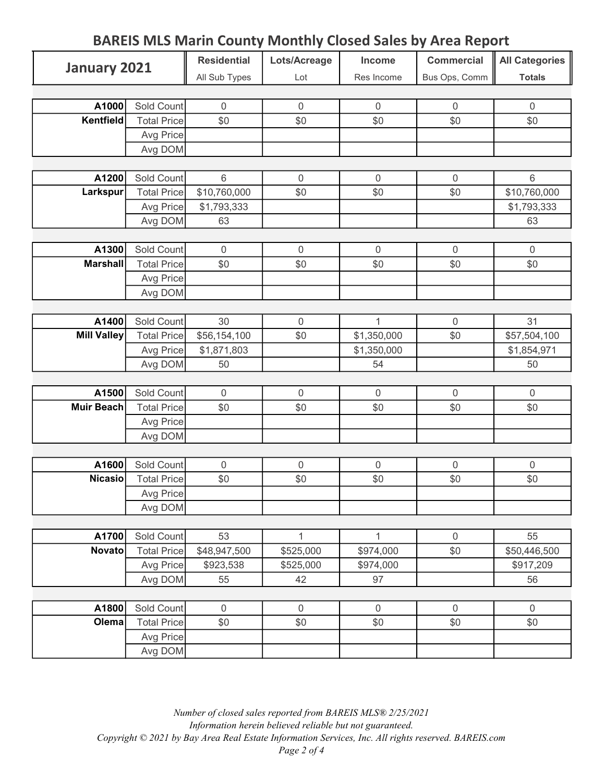| <b>BAREIS MLS Marin County Monthly Closed Sales by Area Report</b> |                    |                    |                  |                  |                   |                       |
|--------------------------------------------------------------------|--------------------|--------------------|------------------|------------------|-------------------|-----------------------|
| January 2021                                                       |                    | <b>Residential</b> | Lots/Acreage     | Income           | <b>Commercial</b> | <b>All Categories</b> |
|                                                                    |                    | All Sub Types      | Lot              | Res Income       | Bus Ops, Comm     | <b>Totals</b>         |
|                                                                    |                    |                    |                  |                  |                   |                       |
| A1000                                                              | Sold Count         | $\mathbf 0$        | $\mathbf 0$      | $\boldsymbol{0}$ | $\boldsymbol{0}$  | $\boldsymbol{0}$      |
| Kentfield                                                          | <b>Total Price</b> | \$0                | \$0              | \$0              | \$0               | \$0                   |
|                                                                    | Avg Price          |                    |                  |                  |                   |                       |
|                                                                    | Avg DOM            |                    |                  |                  |                   |                       |
|                                                                    |                    |                    |                  |                  |                   |                       |
| A1200                                                              | Sold Count         | $6\phantom{1}$     | $\mathbf 0$      | $\mathbf 0$      | $\overline{0}$    | $6\,$                 |
| Larkspur                                                           | <b>Total Price</b> | \$10,760,000       | \$0              | \$0              | \$0               | \$10,760,000          |
|                                                                    | Avg Price          | \$1,793,333        |                  |                  |                   | \$1,793,333           |
|                                                                    | Avg DOM            | 63                 |                  |                  |                   | 63                    |
|                                                                    |                    |                    |                  |                  |                   |                       |
| A1300                                                              | Sold Count         | $\overline{0}$     | $\mathbf 0$      | $\mathbf 0$      | $\mathbf 0$       | $\mathbf 0$           |
| <b>Marshall</b>                                                    | <b>Total Price</b> | \$0                | \$0              | \$0              | \$0               | \$0                   |
|                                                                    | Avg Price          |                    |                  |                  |                   |                       |
|                                                                    | Avg DOM            |                    |                  |                  |                   |                       |
|                                                                    |                    |                    |                  |                  |                   |                       |
| A1400                                                              | Sold Count         | 30                 | $\mathbf 0$      | 1                | $\mathbf{0}$      | 31                    |
| <b>Mill Valley</b>                                                 | <b>Total Price</b> | \$56,154,100       | \$0              | \$1,350,000      | \$0               | \$57,504,100          |
|                                                                    | Avg Price          | \$1,871,803        |                  | \$1,350,000      |                   | \$1,854,971           |
|                                                                    | Avg DOM            | 50                 |                  | 54               |                   | 50                    |
|                                                                    |                    |                    |                  |                  |                   |                       |
| A1500                                                              | Sold Count         | $\overline{0}$     | $\mathbf 0$      | $\overline{0}$   | 0                 | $\mathbf 0$           |
| <b>Muir Beach</b>                                                  | <b>Total Price</b> | \$0                | \$0              | \$0              | \$0               | \$0                   |
|                                                                    | Avg Price          |                    |                  |                  |                   |                       |
|                                                                    | Avg DOM            |                    |                  |                  |                   |                       |
|                                                                    |                    |                    |                  |                  |                   |                       |
| A1600                                                              | Sold Count         | $\boldsymbol{0}$   | $\boldsymbol{0}$ | $\boldsymbol{0}$ | 0                 | $\boldsymbol{0}$      |
| <b>Nicasio</b>                                                     | <b>Total Price</b> | \$0                | \$0              | \$0              | \$0               | \$0                   |
|                                                                    | Avg Price          |                    |                  |                  |                   |                       |
|                                                                    | Avg DOM            |                    |                  |                  |                   |                       |
|                                                                    |                    |                    |                  |                  |                   |                       |
| A1700                                                              | Sold Count         | 53                 | $\mathbf 1$      | $\mathbf{1}$     | $\mathbf 0$       | 55                    |
| <b>Novato</b>                                                      | <b>Total Price</b> | \$48,947,500       | \$525,000        | \$974,000        | \$0               | \$50,446,500          |
|                                                                    | Avg Price          | \$923,538          | \$525,000        | \$974,000        |                   | \$917,209             |
|                                                                    | Avg DOM            | 55                 | 42               | 97               |                   | 56                    |
|                                                                    |                    |                    |                  |                  |                   |                       |
| A1800                                                              | Sold Count         | $\mathbf 0$        | $\boldsymbol{0}$ | $\boldsymbol{0}$ | $\mathbf 0$       | $\boldsymbol{0}$      |
| Olema                                                              | <b>Total Price</b> | \$0                | \$0              | \$0              | \$0               | \$0                   |
|                                                                    | Avg Price          |                    |                  |                  |                   |                       |
|                                                                    | Avg DOM            |                    |                  |                  |                   |                       |

## Number of closed sales reported from BAREIS MLS® 2/25/2021 Information herein believed reliable but not guaranteed. Copyright © 2021 by Bay Area Real Estate Information Services, Inc. All rights reserved. BAREIS.com Page 2 of 4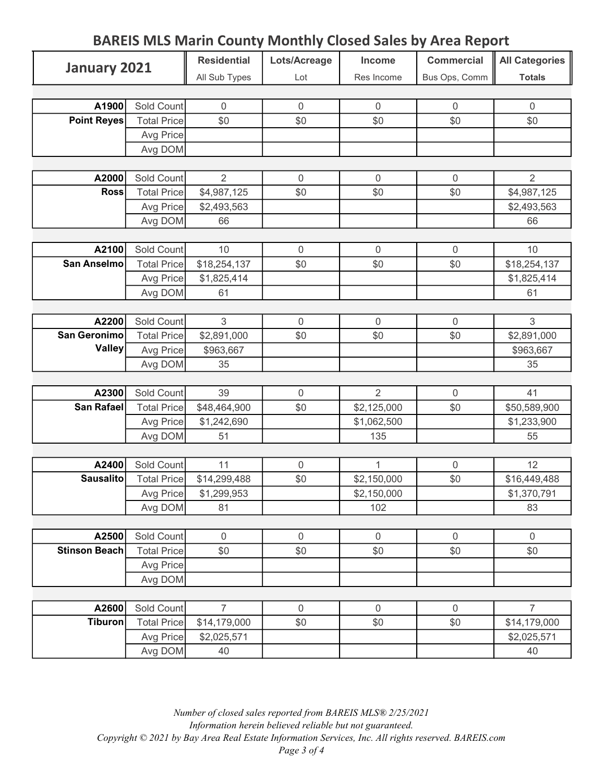| January 2021              |                      | <b>Residential</b> | Lots/Acreage     | Income             | <b>Commercial</b> | <b>All Categories</b> |
|---------------------------|----------------------|--------------------|------------------|--------------------|-------------------|-----------------------|
|                           |                      | All Sub Types      | Lot              | Res Income         | Bus Ops, Comm     | <b>Totals</b>         |
|                           |                      |                    |                  |                    |                   |                       |
| A1900                     | Sold Count           | $\mathbf 0$        | $\boldsymbol{0}$ | $\mathbf 0$        | $\mathbf 0$       | $\boldsymbol{0}$      |
| <b>Point Reyes</b>        | <b>Total Price</b>   | \$0                | \$0              | \$0                | \$0               | \$0                   |
|                           | Avg Price            |                    |                  |                    |                   |                       |
|                           | Avg DOM              |                    |                  |                    |                   |                       |
|                           |                      |                    |                  |                    |                   |                       |
| A2000                     | Sold Count           | $\overline{2}$     | $\boldsymbol{0}$ | $\mathbf 0$        | $\mathbf 0$       | $\overline{2}$        |
| <b>Ross</b>               | <b>Total Price</b>   | \$4,987,125        | \$0              | \$0                | \$0               | \$4,987,125           |
|                           | Avg Price            | \$2,493,563        |                  |                    |                   | \$2,493,563           |
|                           | Avg DOM              | 66                 |                  |                    |                   | 66                    |
|                           |                      |                    |                  |                    |                   |                       |
| A2100                     | Sold Count           | 10                 | $\mathbf 0$      | $\mathbf 0$        | $\mathbf 0$       | 10                    |
| <b>San Anselmo</b>        | <b>Total Price</b>   | \$18,254,137       | \$0              | \$0                | \$0               | \$18,254,137          |
|                           | Avg Price            | \$1,825,414        |                  |                    |                   | \$1,825,414           |
|                           | Avg DOM              | 61                 |                  |                    |                   | 61                    |
|                           |                      |                    |                  |                    |                   |                       |
| A2200                     | Sold Count           | 3                  | $\boldsymbol{0}$ | $\mathbf 0$        | $\mathbf 0$       | 3                     |
| San Geronimo              | <b>Total Price</b>   | \$2,891,000        | \$0              | \$0                | \$0               | \$2,891,000           |
| <b>Valley</b>             | Avg Price            | \$963,667          |                  |                    |                   | \$963,667             |
|                           | Avg DOM              | 35                 |                  |                    |                   | 35                    |
|                           |                      |                    |                  |                    |                   |                       |
| A2300                     | Sold Count           | 39                 | $\mathbf 0$      | $\overline{2}$     | $\mathbf 0$       | 41                    |
| <b>San Rafael</b>         | <b>Total Price</b>   | \$48,464,900       | \$0              | \$2,125,000        | \$0               | \$50,589,900          |
|                           | Avg Price            | \$1,242,690        |                  | \$1,062,500        |                   | \$1,233,900           |
|                           | Avg DOM              | 51                 |                  | 135                |                   | 55                    |
|                           |                      |                    |                  |                    |                   |                       |
| A2400<br><b>Sausalito</b> | Sold Count           | 11                 | $\mathbf 0$      | $\mathbf{1}$       | $\mathbf 0$       | 12                    |
|                           | <b>Total Price</b>   | \$14,299,488       | \$0              | \$2,150,000        | \$0               | \$16,449,488          |
|                           | Avg Price<br>Avg DOM | \$1,299,953<br>81  |                  | \$2,150,000<br>102 |                   | \$1,370,791<br>83     |
|                           |                      |                    |                  |                    |                   |                       |
| A2500                     | Sold Count           | $\boldsymbol{0}$   | $\boldsymbol{0}$ | $\mathbf 0$        | $\mathbf 0$       | $\boldsymbol{0}$      |
| <b>Stinson Beach</b>      | <b>Total Price</b>   | \$0                | \$0              | \$0                | \$0               | \$0                   |
|                           | Avg Price            |                    |                  |                    |                   |                       |
|                           | Avg DOM              |                    |                  |                    |                   |                       |
|                           |                      |                    |                  |                    |                   |                       |
| A2600                     | Sold Count           | $\overline{7}$     | $\boldsymbol{0}$ | $\boldsymbol{0}$   | $\mathbf 0$       | $\overline{7}$        |
| <b>Tiburon</b>            | <b>Total Price</b>   | \$14,179,000       | \$0              | \$0                | \$0               | \$14,179,000          |
|                           | Avg Price            | \$2,025,571        |                  |                    |                   | \$2,025,571           |
|                           | Avg DOM              | 40                 |                  |                    |                   | 40                    |
|                           |                      |                    |                  |                    |                   |                       |

BAREIS MLS Marin County Monthly Closed Sales by Area Report

## Number of closed sales reported from BAREIS MLS® 2/25/2021 Information herein believed reliable but not guaranteed.

Copyright © 2021 by Bay Area Real Estate Information Services, Inc. All rights reserved. BAREIS.com

Page 3 of 4